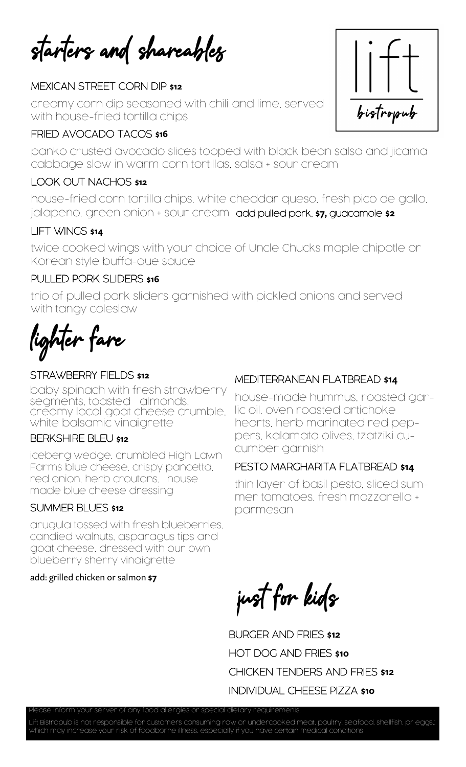starters and shareables

#### MEXICAN STREET CORN DIP **\$12**

creamy corn dip seasoned with chili and lime, served with house-fried tortilla chips

#### FRIED AVOCADO TACOS **\$16**

panko crusted avocado slices topped with black bean salsa and jicama cabbage slaw in warm corn tortillas, salsa + sour cream

## LOOK OUT NACHOS **\$12**

house-fried corn tortilla chips, white cheddar queso, fresh pico de gallo, jalapeno, green onion + sour cream add pulled pork, **\$7,** guacamole **\$2**

#### LIFT WINGS **\$14**

twice cooked wings with your choice of Uncle Chucks maple chipotle or Korean style buffa-que sauce

# PULLED PORK SLIDERS **\$16**

trio of pulled pork sliders garnished with pickled onions and served with tangy coleslaw

lighter fare

## STRAWBERRY FIELDS **\$12**

baby spinach with fresh strawberry segments, toasted almonds, creamy local goat cheese crumble, white balsamic vinaigrette

#### BERKSHIRE BLEU **\$12**

iceberg wedge, crumbled High Lawn Farms blue cheese, crispy pancetta, red onion, herb croutons, house made blue cheese dressing

#### SUMMER BLUES **\$12**

arugula tossed with fresh blueberries, candied walnuts, asparagus tips and goat cheese, dressed with our own blueberry sherry vinaigrette

#### add: grilled chicken or salmon **\$7**

# MEDITERRANEAN FLATBREAD **\$14**

house-made hummus, roasted garlic oil, oven roasted artichoke hearts, herb marinated red peppers, kalamata olives, tzatziki cucumber garnish

#### PESTO MARGHARITA FLATBREAD **\$14**

thin layer of basil pesto, sliced summer tomatoes, fresh mozzarella + parmesan

just for kids

BURGER AND FRIES **\$12** HOT DOG AND FRIES **\$10** CHICKEN TENDERS AND FRIES **\$12** INDIVIDUAL CHEESE PIZZA **\$10**

Lift Bistropub is not responsible for customers consuming raw or undercooked meat, poultry, seafood, shellfish, pr eggs. hich may increase your risk of foodborne illness, especially if you have certain medical conditions



Please inform your server of any food allergies or special dietary requirements.